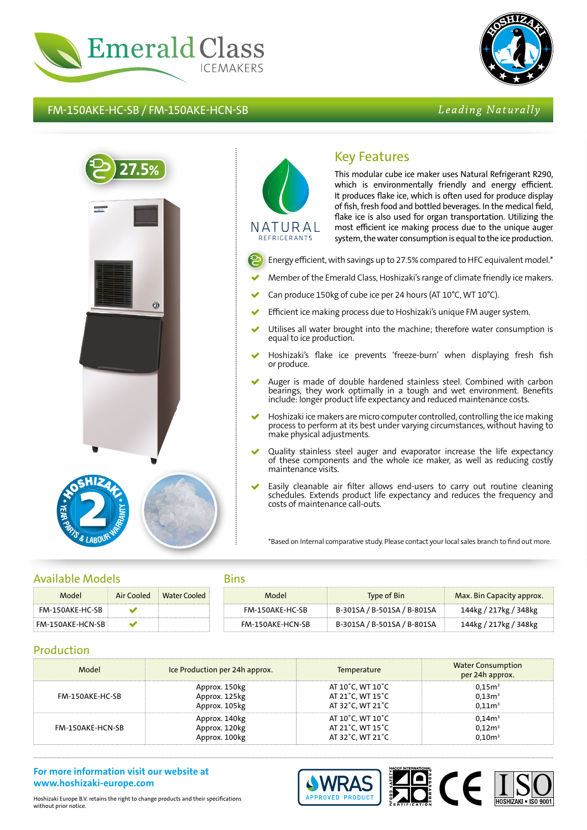

FM-150AKE-HC-SB / FM-150AKE-HCN-SB



# Leading Naturally



# NATURAL REFRIGERANTS

Key Features This modular cube ice maker uses Natural Refrigerant R290, which is environmentally friendly and energy efficient. It produces flake ice, which is often used for produce display of fish, fresh food and bottled beverages. In the medical field, flake ice is also used for organ transportation. Utilizing the most efficient ice making process due to the unique auger system, the water consumption is equal to the ice production.

- Energy efficient, with savings up to 27.5% compared to HFC equivalent model.\*
- Member of the Emerald Class, Hoshizaki's range of climate friendly ice makers.
- Can produce 150kg of cube ice per 24 hours (AT 10°C, WT 10°C).
- Efficient ice making process due to Hoshizaki's unique FM auger system.
- Utilises all water brought into the machine; therefore water consumption is equal to ice production.
- Hoshizaki's flake ice prevents 'freeze-burn' when displaying fresh fish or produce.
- Auger is made of double hardened stainless steel. Combined with carbon bearings, they work optimally in a tough and wet environment. Benefits include: longer product life expectancy and reduced maintenance costs.
- Hoshizaki ice makers are micro computer controlled, controlling the ice making process to perform at its best under varying circumstances, without having to make physical adjustments.
- Quality stainless steel auger and evaporator increase the life expectancy of these components and the whole ice maker, as well as reducing costly maintenance visits.
- Easily cleanable air filter allows end-users to carry out routine cleaning schedules. Extends product life expectancy and reduces the frequency and costs of maintenance call-outs.

\*Based on Internal comparative study. Please contact your local sales branch to find out more.

## Available Models

| Model            | Air Cooled | Water Cooled |
|------------------|------------|--------------|
| FM-150AKF-HC-SB  |            |              |
| FM-150AKE-HCN-SB |            |              |

#### Bins

| . |                         |                             |                           |
|---|-------------------------|-----------------------------|---------------------------|
|   | Model                   | Type of Bin                 | Max. Bin Capacity approx. |
|   | FM-150AKF-HC-SB         | B-301SA / B-501SA / B-801SA | 144kg / 217kg / 348kg     |
|   | <b>FM-150AKF-HCN-SB</b> | B-301SA / B-501SA / B-801SA | 144kg / 217kg / 348kg     |

## Production

| Model            | Ice Production per 24h approx. | <b>Temperature</b> | <b>Water Consumption</b><br>per 24h approx. |
|------------------|--------------------------------|--------------------|---------------------------------------------|
| FM-150AKE-HC-SB  | Approx. 150kg                  | AT 10°C, WT 10°C   | 0,15m <sup>3</sup>                          |
|                  | Approx. 125kg                  | AT 21°C, WT 15°C   | 0.13 <sup>3</sup>                           |
|                  | Approx. 105kg                  | AT 32°C, WT 21°C   | 0.11 <sup>3</sup>                           |
| FM-150AKE-HCN-SB | Approx. 140kg                  | AT 10°C, WT 10°C   | 0,14m <sup>3</sup>                          |
|                  | Approx. 120kg                  | AT 21°C, WT 15°C   | 0,12m <sup>3</sup>                          |
|                  | Approx. 100kg                  | AT 32°C, WT 21°C   | 0.10 <sup>3</sup>                           |

### **For more information visit our website at www.hoshizaki-europe.com**



Hoshizaki Europe B.V. retains the right to change products and their specifications without prior notice.